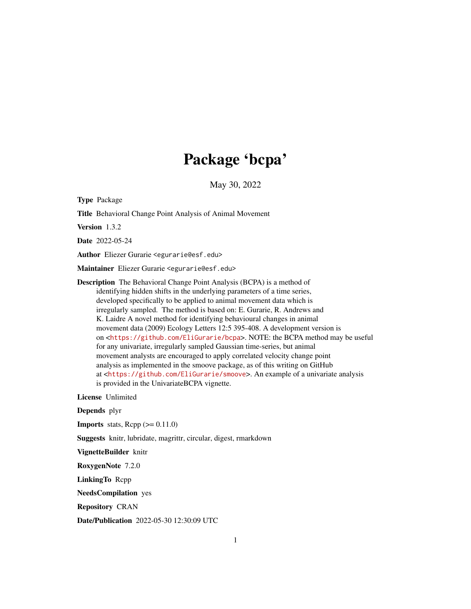# Package 'bcpa'

May 30, 2022

<span id="page-0-0"></span>Type Package

Title Behavioral Change Point Analysis of Animal Movement

Version 1.3.2

Date 2022-05-24

Author Eliezer Gurarie <egurarie@esf.edu>

Maintainer Eliezer Gurarie <egurarie@esf.edu>

Description The Behavioral Change Point Analysis (BCPA) is a method of identifying hidden shifts in the underlying parameters of a time series, developed specifically to be applied to animal movement data which is irregularly sampled. The method is based on: E. Gurarie, R. Andrews and K. Laidre A novel method for identifying behavioural changes in animal movement data (2009) Ecology Letters 12:5 395-408. A development version is on <<https://github.com/EliGurarie/bcpa>>. NOTE: the BCPA method may be useful for any univariate, irregularly sampled Gaussian time-series, but animal movement analysts are encouraged to apply correlated velocity change point analysis as implemented in the smoove package, as of this writing on GitHub at <<https://github.com/EliGurarie/smoove>>. An example of a univariate analysis is provided in the UnivariateBCPA vignette.

License Unlimited

Depends plyr

**Imports** stats,  $\text{Rcpp} (> = 0.11.0)$ 

Suggests knitr, lubridate, magrittr, circular, digest, rmarkdown

VignetteBuilder knitr

RoxygenNote 7.2.0

LinkingTo Rcpp

NeedsCompilation yes

Repository CRAN

Date/Publication 2022-05-30 12:30:09 UTC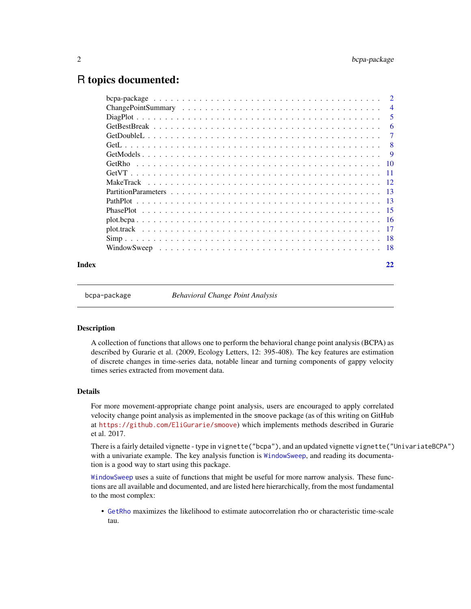# <span id="page-1-0"></span>R topics documented:

|       | $\overline{4}$ |
|-------|----------------|
|       | -5             |
|       | -6             |
|       | -7             |
|       |                |
|       |                |
|       |                |
|       |                |
|       |                |
|       |                |
|       |                |
|       |                |
|       |                |
|       |                |
|       |                |
|       |                |
| Index |                |

bcpa-package *Behavioral Change Point Analysis*

#### Description

A collection of functions that allows one to perform the behavioral change point analysis (BCPA) as described by Gurarie et al. (2009, Ecology Letters, 12: 395-408). The key features are estimation of discrete changes in time-series data, notable linear and turning components of gappy velocity times series extracted from movement data.

#### Details

For more movement-appropriate change point analysis, users are encouraged to apply correlated velocity change point analysis as implemented in the smoove package (as of this writing on GitHub at <https://github.com/EliGurarie/smoove>) which implements methods described in Gurarie et al. 2017.

There is a fairly detailed vignette - type in vignette("bcpa"), and an updated vignette vignette("UnivariateBCPA") with a univariate example. The key analysis function is [WindowSweep](#page-17-1), and reading its documentation is a good way to start using this package.

[WindowSweep](#page-17-1) uses a suite of functions that might be useful for more narrow analysis. These functions are all available and documented, and are listed here hierarchically, from the most fundamental to the most complex:

• [GetRho](#page-9-1) maximizes the likelihood to estimate autocorrelation rho or characteristic time-scale tau.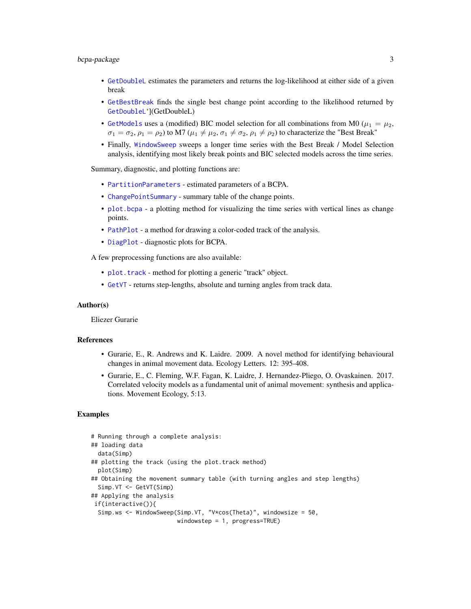# <span id="page-2-0"></span>bcpa-package 3

- [GetDoubleL](#page-6-1) estimates the parameters and returns the log-likelihood at either side of a given break
- [GetBestBreak](#page-5-1) finds the single best change point according to the likelihood returned by [GetDoubleL](#page-6-1)'](GetDoubleL)
- [GetModels](#page-8-1) uses a (modified) BIC model selection for all combinations from M0 ( $\mu_1 = \mu_2$ ,  $\sigma_1 = \sigma_2$ ,  $\rho_1 = \rho_2$ ) to M7 ( $\mu_1 \neq \mu_2$ ,  $\sigma_1 \neq \sigma_2$ ,  $\rho_1 \neq \rho_2$ ) to characterize the "Best Break"
- Finally, [WindowSweep](#page-17-1) sweeps a longer time series with the Best Break / Model Selection analysis, identifying most likely break points and BIC selected models across the time series.

Summary, diagnostic, and plotting functions are:

- [PartitionParameters](#page-12-1) estimated parameters of a BCPA.
- [ChangePointSummary](#page-3-1) summary table of the change points.
- [plot.bcpa](#page-15-1) a plotting method for visualizing the time series with vertical lines as change points.
- [PathPlot](#page-12-2) a method for drawing a color-coded track of the analysis.
- [DiagPlot](#page-4-1) diagnostic plots for BCPA.

A few preprocessing functions are also available:

- [plot.track](#page-16-1) method for plotting a generic "track" object.
- [GetVT](#page-10-1) returns step-lengths, absolute and turning angles from track data.

#### Author(s)

Eliezer Gurarie

#### References

- Gurarie, E., R. Andrews and K. Laidre. 2009. A novel method for identifying behavioural changes in animal movement data. Ecology Letters. 12: 395-408.
- Gurarie, E., C. Fleming, W.F. Fagan, K. Laidre, J. Hernandez-Pliego, O. Ovaskainen. 2017. Correlated velocity models as a fundamental unit of animal movement: synthesis and applications. Movement Ecology, 5:13.

```
# Running through a complete analysis:
## loading data
 data(Simp)
## plotting the track (using the plot.track method)
 plot(Simp)
## Obtaining the movement summary table (with turning angles and step lengths)
 Simp.VT <- GetVT(Simp)
## Applying the analysis
if(interactive()){
 Simp.ws <- WindowSweep(Simp.VT, "V*cos(Theta)", windowsize = 50,
                        windowstep = 1, progress=TRUE)
```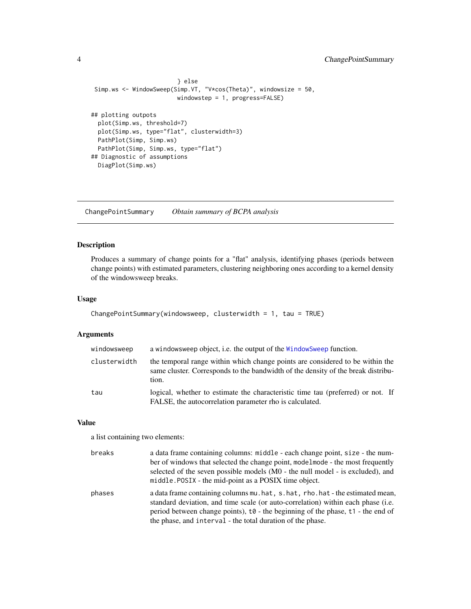# <span id="page-3-0"></span>4 ChangePointSummary

```
} else
Simp.ws <- WindowSweep(Simp.VT, "V*cos(Theta)", windowsize = 50,
                        windowstep = 1, progress=FALSE)
## plotting outpots
 plot(Simp.ws, threshold=7)
 plot(Simp.ws, type="flat", clusterwidth=3)
 PathPlot(Simp, Simp.ws)
 PathPlot(Simp, Simp.ws, type="flat")
## Diagnostic of assumptions
 DiagPlot(Simp.ws)
```
<span id="page-3-1"></span>ChangePointSummary *Obtain summary of BCPA analysis*

# Description

Produces a summary of change points for a "flat" analysis, identifying phases (periods between change points) with estimated parameters, clustering neighboring ones according to a kernel density of the windowsweep breaks.

#### Usage

```
ChangePointSummary(windowsweep, clusterwidth = 1, tau = TRUE)
```
#### Arguments

| windowsweep  | a windowsweep object, i.e. the output of the Windowsweep function.                                                                                                         |
|--------------|----------------------------------------------------------------------------------------------------------------------------------------------------------------------------|
| clusterwidth | the temporal range within which change points are considered to be within the<br>same cluster. Corresponds to the bandwidth of the density of the break distribu-<br>tion. |
| tau          | logical, whether to estimate the characteristic time tau (preferred) or not. If<br>FALSE, the autocorrelation parameter rho is calculated.                                 |

## Value

a list containing two elements:

| breaks | a data frame containing columns: middle - each change point, size - the num-<br>ber of windows that selected the change point, modelmode - the most frequently<br>selected of the seven possible models (M0 - the null model - is excluded), and<br>middle.POSIX - the mid-point as a POSIX time object.                               |
|--------|----------------------------------------------------------------------------------------------------------------------------------------------------------------------------------------------------------------------------------------------------------------------------------------------------------------------------------------|
| phases | a data frame containing columns mu. hat, s. hat, rho. hat - the estimated mean,<br>standard deviation, and time scale (or auto-correlation) within each phase (i.e.<br>period between change points), $\tau \vartheta$ - the beginning of the phase, $\tau$ - the end of<br>the phase, and interval - the total duration of the phase. |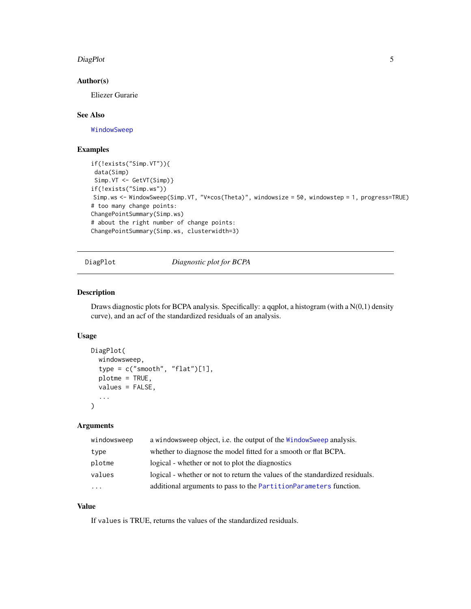#### <span id="page-4-0"></span>DiagPlot 5

# Author(s)

Eliezer Gurarie

# See Also

[WindowSweep](#page-17-1)

#### Examples

```
if(!exists("Simp.VT")){
data(Simp)
Simp.VT <- GetVT(Simp)}
if(!exists("Simp.ws"))
Simp.ws <- WindowSweep(Simp.VT, "V*cos(Theta)", windowsize = 50, windowstep = 1, progress=TRUE)
# too many change points:
ChangePointSummary(Simp.ws)
# about the right number of change points:
ChangePointSummary(Simp.ws, clusterwidth=3)
```
<span id="page-4-1"></span>DiagPlot *Diagnostic plot for BCPA*

# Description

Draws diagnostic plots for BCPA analysis. Specifically: a qqplot, a histogram (with a N(0,1) density curve), and an acf of the standardized residuals of an analysis.

#### Usage

```
DiagPlot(
  windowsweep,
  type = c("smooth", "flat")[1],plotme = TRUE,
  values = FALSE,...
)
```
#### Arguments

| windowsweep | a windows weep object, i.e. the output of the Window Sweep analysis.         |
|-------------|------------------------------------------------------------------------------|
| type        | whether to diagnose the model fitted for a smooth or flat BCPA.              |
| plotme      | logical - whether or not to plot the diagnostics                             |
| values      | logical - whether or not to return the values of the standardized residuals. |
| $\cdots$    | additional arguments to pass to the PartitionParameters function.            |

# Value

If values is TRUE, returns the values of the standardized residuals.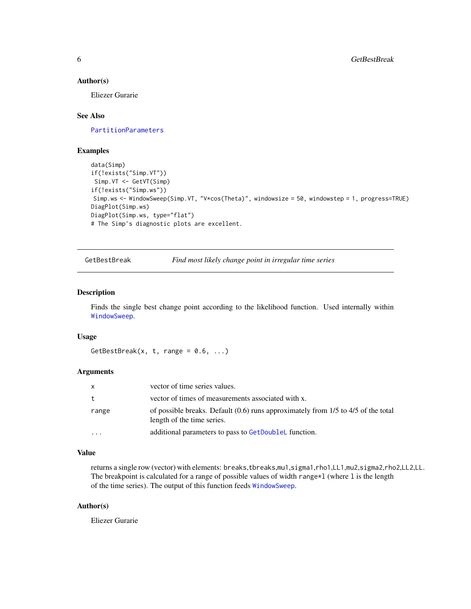#### <span id="page-5-0"></span>Author(s)

Eliezer Gurarie

#### See Also

[PartitionParameters](#page-12-1)

## Examples

```
data(Simp)
if(!exists("Simp.VT"))
Simp.VT <- GetVT(Simp)
if(!exists("Simp.ws"))
Simp.ws <- WindowSweep(Simp.VT, "V*cos(Theta)", windowsize = 50, windowstep = 1, progress=TRUE)
DiagPlot(Simp.ws)
DiagPlot(Simp.ws, type="flat")
# The Simp's diagnostic plots are excellent.
```
<span id="page-5-1"></span>GetBestBreak *Find most likely change point in irregular time series*

# Description

Finds the single best change point according to the likelihood function. Used internally within [WindowSweep](#page-17-1).

#### Usage

GetBestBreak(x, t, range =  $0.6$ , ...)

# Arguments

| X        | vector of time series values.                                                                                         |
|----------|-----------------------------------------------------------------------------------------------------------------------|
| t        | vector of times of measurements associated with x.                                                                    |
| range    | of possible breaks. Default $(0.6)$ runs approximately from $1/5$ to $4/5$ of the total<br>length of the time series. |
| $\cdots$ | additional parameters to pass to GetDoubleL function.                                                                 |

# Value

returns a single row (vector) with elements: breaks,tbreaks,mu1,sigma1,rho1,LL1,mu2,sigma2,rho2,LL2,LL. The breakpoint is calculated for a range of possible values of width range $\star$ 1 (where 1 is the length of the time series). The output of this function feeds [WindowSweep](#page-17-1).

# Author(s)

Eliezer Gurarie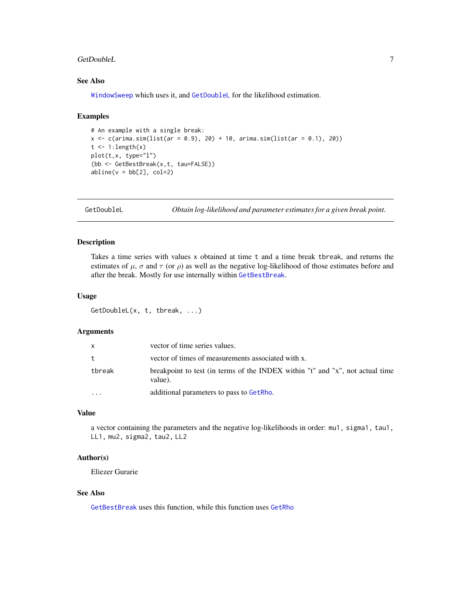#### <span id="page-6-0"></span>GetDoubleL 7

# See Also

[WindowSweep](#page-17-1) which uses it, and [GetDoubleL](#page-6-1) for the likelihood estimation.

#### Examples

```
# An example with a single break:
x <- c(arima.sim(list(ar = 0.9), 20) + 10, arima.sim(list(ar = 0.1), 20))
t \leq 1: length(x)plot(t,x, type="l")
(bb <- GetBestBreak(x,t, tau=FALSE))
abline(v = bb[2], col=2)
```
<span id="page-6-1"></span>GetDoubleL *Obtain log-likelihood and parameter estimates for a given break point.*

# Description

Takes a time series with values x obtained at time t and a time break tbreak, and returns the estimates of  $\mu$ ,  $\sigma$  and  $\tau$  (or  $\rho$ ) as well as the negative log-likelihood of those estimates before and after the break. Mostly for use internally within [GetBestBreak](#page-5-1).

#### Usage

GetDoubleL(x, t, tbreak, ...)

# Arguments

| X            | vector of time series values.                                                            |
|--------------|------------------------------------------------------------------------------------------|
| $^{\dagger}$ | vector of times of measurements associated with x.                                       |
| tbreak       | breakpoint to test (in terms of the INDEX within "t" and "x", not actual time<br>value). |
| $\cdots$     | additional parameters to pass to GetRho.                                                 |

# Value

a vector containing the parameters and the negative log-likelihoods in order: mu1, sigma1, tau1, LL1, mu2, sigma2, tau2, LL2

# Author(s)

Eliezer Gurarie

#### See Also

[GetBestBreak](#page-5-1) uses this function, while this function uses [GetRho](#page-9-1)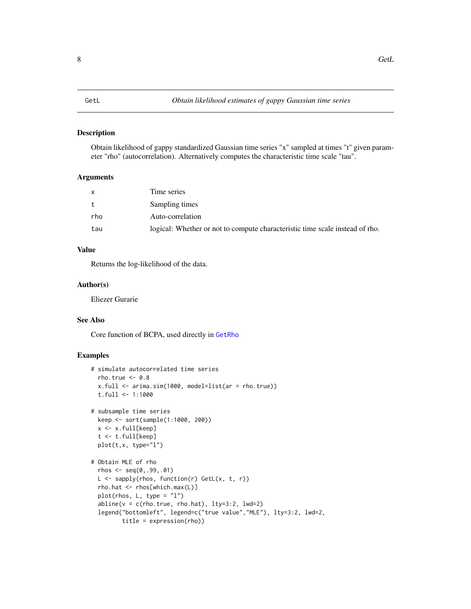<span id="page-7-0"></span>Obtain likelihood of gappy standardized Gaussian time series "x" sampled at times "t" given parameter "rho" (autocorrelation). Alternatively computes the characteristic time scale "tau".

# Arguments

| X   | Time series                                                                  |
|-----|------------------------------------------------------------------------------|
| t   | Sampling times                                                               |
| rho | Auto-correlation                                                             |
| tau | logical: Whether or not to compute characteristic time scale instead of rho. |

# Value

Returns the log-likelihood of the data.

# Author(s)

Eliezer Gurarie

# See Also

Core function of BCPA, used directly in [GetRho](#page-9-1)

```
# simulate autocorrelated time series
 rho.true <-0.8x.full <- arima.sim(1000, model=list(ar = rho.true))
 t.full <- 1:1000
# subsample time series
 keep <- sort(sample(1:1000, 200))
 x <- x.full[keep]
 t <- t.full[keep]
 plot(t,x, type="l")
# Obtain MLE of rho
 rhos \leq - seq(0, .99, .01)L <- sapply(rhos, function(r) GetL(x, t, r))
 rho.hat <- rhos[which.max(L)]
 plot(rhos, L, type = "l")abline(v = c(rho,true, rho_hat), lty=3:2, lwd=2)legend("bottomleft", legend=c("true value","MLE"), lty=3:2, lwd=2,
        title = expression(rho))
```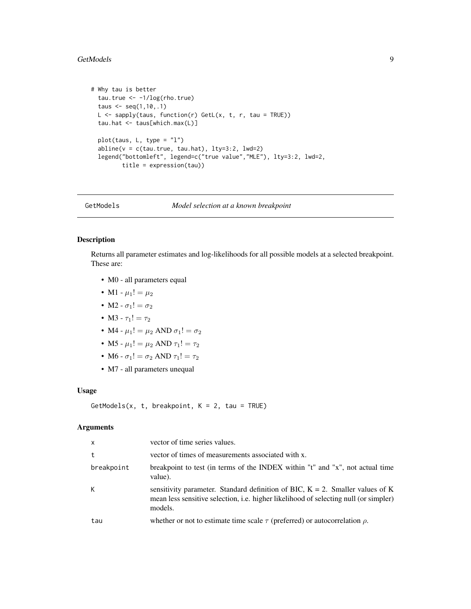#### <span id="page-8-0"></span>GetModels 9

```
# Why tau is better
 tau.true <- -1/log(rho.true)
 taus <- seq(1,10,.1)
 L \leq sapply(taus, function(r) GetL(x, t, r, tau = TRUE))
 tau.hat <- taus[which.max(L)]
 plot(taus, L, type = "l")
 abline(v = c(tau.true, tau.hat), lty=3:2, lwd=2)legend("bottomleft", legend=c("true value","MLE"), lty=3:2, lwd=2,
         title = expression(tau))
```
<span id="page-8-1"></span>GetModels *Model selection at a known breakpoint*

#### Description

Returns all parameter estimates and log-likelihoods for all possible models at a selected breakpoint. These are:

- M0 all parameters equal
- M1  $\mu_1! = \mu_2$
- M2  $\sigma_1! = \sigma_2$
- M3  $\tau_1! = \tau_2$
- M4  $\mu_1! = \mu_2$  AND  $\sigma_1! = \sigma_2$
- M5  $\mu_1! = \mu_2$  AND  $\tau_1! = \tau_2$
- M6  $\sigma_1! = \sigma_2$  AND  $\tau_1! = \tau_2$
- M7 all parameters unequal

#### Usage

 $GetModels(x, t, breakpoint, K = 2, tau = TRUE)$ 

# Arguments

| $\times$   | vector of time series values.                                                                                                                                                              |
|------------|--------------------------------------------------------------------------------------------------------------------------------------------------------------------------------------------|
| t          | vector of times of measurements associated with x.                                                                                                                                         |
| breakpoint | breakpoint to test (in terms of the INDEX within "t" and "x", not actual time<br>value).                                                                                                   |
| K          | sensitivity parameter. Standard definition of BIC, $K = 2$ . Smaller values of K<br>mean less sensitive selection, <i>i.e.</i> higher likelihood of selecting null (or simpler)<br>models. |
| tau        | whether or not to estimate time scale $\tau$ (preferred) or autocorrelation $\rho$ .                                                                                                       |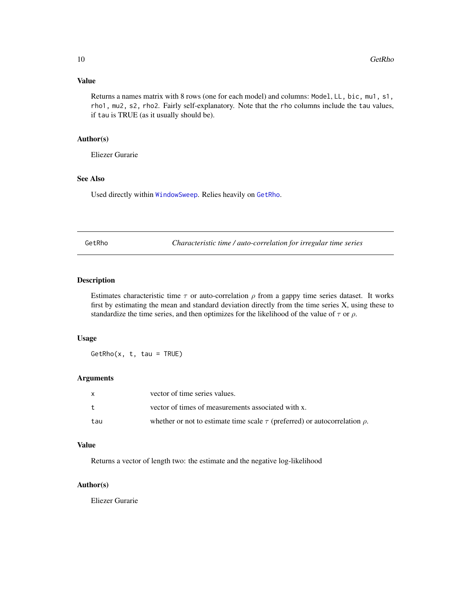# <span id="page-9-0"></span>Value

Returns a names matrix with 8 rows (one for each model) and columns: Model, LL, bic, mu1, s1, rho1, mu2, s2, rho2. Fairly self-explanatory. Note that the rho columns include the tau values, if tau is TRUE (as it usually should be).

#### Author(s)

Eliezer Gurarie

# See Also

Used directly within [WindowSweep](#page-17-1). Relies heavily on [GetRho](#page-9-1).

<span id="page-9-1"></span>GetRho *Characteristic time / auto-correlation for irregular time series*

#### Description

Estimates characteristic time  $\tau$  or auto-correlation  $\rho$  from a gappy time series dataset. It works first by estimating the mean and standard deviation directly from the time series X, using these to standardize the time series, and then optimizes for the likelihood of the value of  $\tau$  or  $\rho$ .

#### Usage

 $GetRho(x, t, tau = TRUE)$ 

#### Arguments

| X           | vector of time series values.                                                        |
|-------------|--------------------------------------------------------------------------------------|
| $t_{\cdot}$ | vector of times of measurements associated with x.                                   |
| tau         | whether or not to estimate time scale $\tau$ (preferred) or autocorrelation $\rho$ . |

# Value

Returns a vector of length two: the estimate and the negative log-likelihood

#### Author(s)

Eliezer Gurarie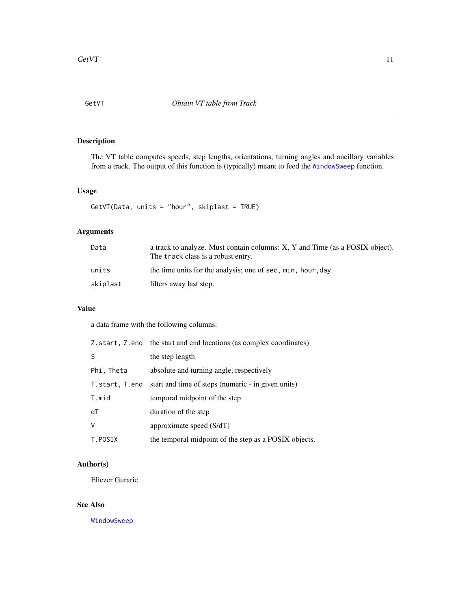<span id="page-10-1"></span><span id="page-10-0"></span>

The VT table computes speeds, step lengths, orientations, turning angles and ancillary variables from a track. The output of this function is (typically) meant to feed the [WindowSweep](#page-17-1) function.

# Usage

GetVT(Data, units = "hour", skiplast = TRUE)

# Arguments

| Data     | a track to analyze. Must contain columns: X, Y and Time (as a POSIX object).<br>The track class is a robust entry. |
|----------|--------------------------------------------------------------------------------------------------------------------|
| units    | the time units for the analysis; one of sec, min, hour, day.                                                       |
| skiplast | filters away last step.                                                                                            |

# Value

a data frame with the following columns:

|                | Z. start, Z. end the start and end locations (as complex coordinates) |
|----------------|-----------------------------------------------------------------------|
| S              | the step length                                                       |
| Phi, Theta     | absolute and turning angle, respectively                              |
| T.start, T.end | start and time of steps (numeric - in given units)                    |
| T.mid          | temporal midpoint of the step                                         |
| dT             | duration of the step                                                  |
| $\vee$         | approximate speed $(S/dT)$                                            |
| T.POSIX        | the temporal midpoint of the step as a POSIX objects.                 |

# Author(s)

Eliezer Gurarie

# See Also

[WindowSweep](#page-17-1)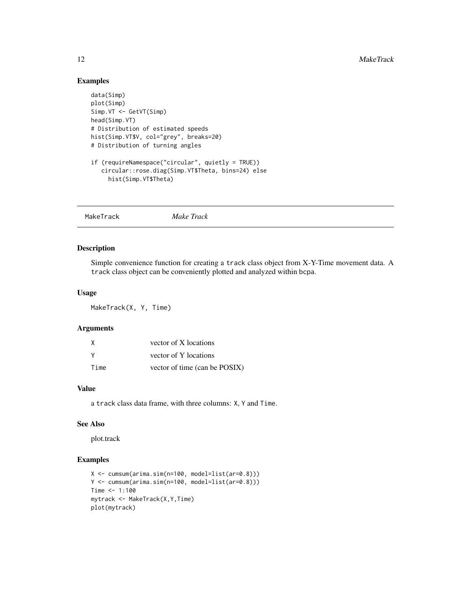# Examples

```
data(Simp)
plot(Simp)
Simp.VT <- GetVT(Simp)
head(Simp.VT)
# Distribution of estimated speeds
hist(Simp.VT$V, col="grey", breaks=20)
# Distribution of turning angles
if (requireNamespace("circular", quietly = TRUE))
   circular::rose.diag(Simp.VT$Theta, bins=24) else
    hist(Simp.VT$Theta)
```

| Make Track<br>MakeTrack |
|-------------------------|
|                         |

# Description

Simple convenience function for creating a track class object from X-Y-Time movement data. A track class object can be conveniently plotted and analyzed within bcpa.

### Usage

MakeTrack(X, Y, Time)

#### Arguments

| X    | vector of X locations         |
|------|-------------------------------|
| v    | vector of Y locations         |
| Time | vector of time (can be POSIX) |

# Value

a track class data frame, with three columns: X, Y and Time.

# See Also

plot.track

```
X <- cumsum(arima.sim(n=100, model=list(ar=0.8)))
Y <- cumsum(arima.sim(n=100, model=list(ar=0.8)))
Time <- 1:100mytrack <- MakeTrack(X,Y,Time)
plot(mytrack)
```
<span id="page-11-0"></span>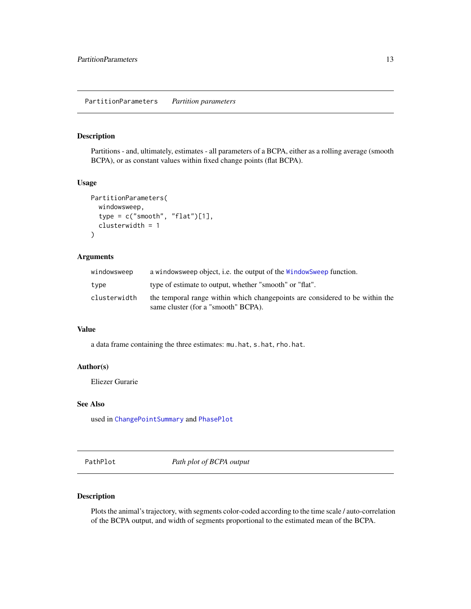<span id="page-12-1"></span><span id="page-12-0"></span>Partitions - and, ultimately, estimates - all parameters of a BCPA, either as a rolling average (smooth BCPA), or as constant values within fixed change points (flat BCPA).

#### Usage

```
PartitionParameters(
  windowsweep,
  type = c("smooth", "flat")[1],clusterwidth = 1
)
```
# Arguments

| windowsweep  | a windows weep object, i.e. the output of the Window Sweep function.                                                |
|--------------|---------------------------------------------------------------------------------------------------------------------|
| type         | type of estimate to output, whether "smooth" or "flat".                                                             |
| clusterwidth | the temporal range within which changepoints are considered to be within the<br>same cluster (for a "smooth" BCPA). |
|              |                                                                                                                     |

#### Value

a data frame containing the three estimates: mu.hat, s.hat, rho.hat.

#### Author(s)

Eliezer Gurarie

# See Also

used in [ChangePointSummary](#page-3-1) and [PhasePlot](#page-14-1)

<span id="page-12-2"></span>PathPlot *Path plot of BCPA output*

#### Description

Plots the animal's trajectory, with segments color-coded according to the time scale / auto-correlation of the BCPA output, and width of segments proportional to the estimated mean of the BCPA.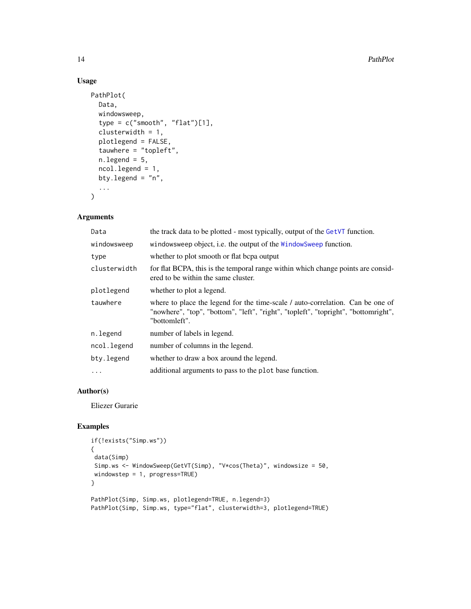# Usage

```
PathPlot(
 Data,
 windowsweep,
  type = c("smooth", "flat")[1],clusterwidth = 1,
 plotlegend = FALSE,
  tauwhere = "topleft",
  nulegend = 5,
  ncol.legend = 1,
 bty.legend = "n",
  ...
\mathcal{L}
```
# Arguments

| Data         | the track data to be plotted - most typically, output of the GetVT function.                                                                                                          |
|--------------|---------------------------------------------------------------------------------------------------------------------------------------------------------------------------------------|
| windowsweep  | windowsweep object, i.e. the output of the WindowSweep function.                                                                                                                      |
| type         | whether to plot smooth or flat bepa output                                                                                                                                            |
| clusterwidth | for flat BCPA, this is the temporal range within which change points are consid-<br>ered to be within the same cluster.                                                               |
| plotlegend   | whether to plot a legend.                                                                                                                                                             |
| tauwhere     | where to place the legend for the time-scale / auto-correlation. Can be one of<br>"nowhere", "top", "bottom", "left", "right", "topleft", "topright", "bottomright",<br>"bottomleft". |
| n.legend     | number of labels in legend.                                                                                                                                                           |
| ncol.legend  | number of columns in the legend.                                                                                                                                                      |
| bty.legend   | whether to draw a box around the legend.                                                                                                                                              |
| $\ddots$     | additional arguments to pass to the plot base function.                                                                                                                               |

# Author(s)

Eliezer Gurarie

```
if(!exists("Simp.ws"))
{
data(Simp)
 Simp.ws <- WindowSweep(GetVT(Simp), "V*cos(Theta)", windowsize = 50,
 windowstep = 1, progress=TRUE)
}
PathPlot(Simp, Simp.ws, plotlegend=TRUE, n.legend=3)
PathPlot(Simp, Simp.ws, type="flat", clusterwidth=3, plotlegend=TRUE)
```
<span id="page-13-0"></span>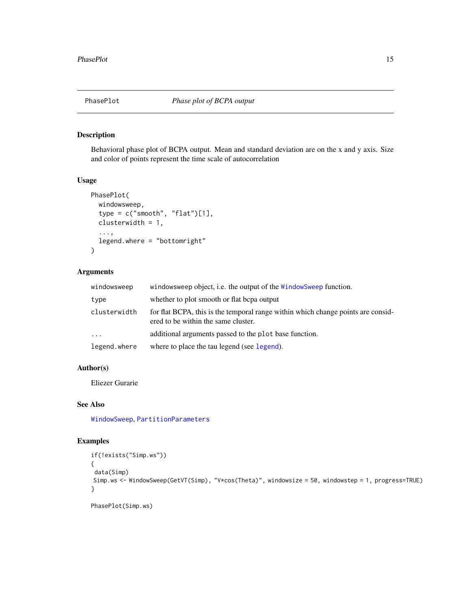<span id="page-14-1"></span><span id="page-14-0"></span>

Behavioral phase plot of BCPA output. Mean and standard deviation are on the x and y axis. Size and color of points represent the time scale of autocorrelation

#### Usage

```
PhasePlot(
  windowsweep,
  type = c("smooth", "flat")[1],clusterwidth = 1,
  ...,
  legend.where = "bottomright"
\mathcal{E}
```
# Arguments

| windowsweep         | windowsweep object, i.e. the output of the WindowSweep function.                                                        |
|---------------------|-------------------------------------------------------------------------------------------------------------------------|
| type                | whether to plot smooth or flat bepa output                                                                              |
| clusterwidth        | for flat BCPA, this is the temporal range within which change points are consid-<br>ered to be within the same cluster. |
| $\cdot \cdot \cdot$ | additional arguments passed to the plot base function.                                                                  |
| legend.where        | where to place the tau legend (see legend).                                                                             |

# Author(s)

Eliezer Gurarie

# See Also

[WindowSweep](#page-17-1), [PartitionParameters](#page-12-1)

### Examples

```
if(!exists("Simp.ws"))
{
data(Simp)
Simp.ws <- WindowSweep(GetVT(Simp), "V*cos(Theta)", windowsize = 50, windowstep = 1, progress=TRUE)
}
```
PhasePlot(Simp.ws)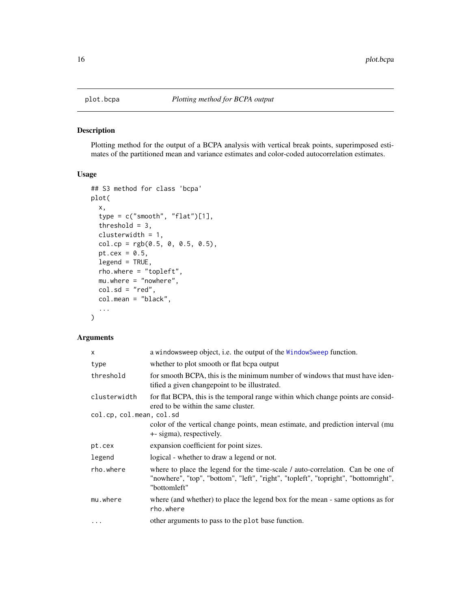<span id="page-15-1"></span><span id="page-15-0"></span>

Plotting method for the output of a BCPA analysis with vertical break points, superimposed estimates of the partitioned mean and variance estimates and color-coded autocorrelation estimates.

### Usage

```
## S3 method for class 'bcpa'
plot(
  x,
  type = c("smooth", "flat")[1],threshold = 3,
  clusterwidth = 1,
  col.cp = rgb(0.5, 0, 0.5, 0.5),
 pt.cex = 0.5,
  legend = TRUE,
  rho.where = "topleft",
 mu.where = "nowhere",
  col.sd = "red",col.mean = "black",
  ...
)
```
# Arguments

| $\times$                 | a windowsweep object, i.e. the output of the Windowsweep function.                                                                                                                   |
|--------------------------|--------------------------------------------------------------------------------------------------------------------------------------------------------------------------------------|
| type                     | whether to plot smooth or flat bepa output                                                                                                                                           |
| threshold                | for smooth BCPA, this is the minimum number of windows that must have iden-<br>tified a given changepoint to be illustrated.                                                         |
| clusterwidth             | for flat BCPA, this is the temporal range within which change points are consid-<br>ered to be within the same cluster.                                                              |
| col.cp, col.mean, col.sd |                                                                                                                                                                                      |
|                          | color of the vertical change points, mean estimate, and prediction interval (mu<br>+- sigma), respectively.                                                                          |
| pt.cex                   | expansion coefficient for point sizes.                                                                                                                                               |
| legend                   | logical - whether to draw a legend or not.                                                                                                                                           |
| rho.where                | where to place the legend for the time-scale / auto-correlation. Can be one of<br>"nowhere", "top", "bottom", "left", "right", "topleft", "topright", "bottomright",<br>"bottomleft" |
| mu.where                 | where (and whether) to place the legend box for the mean - same options as for<br>rho.where                                                                                          |
| $\ddotsc$                | other arguments to pass to the plot base function.                                                                                                                                   |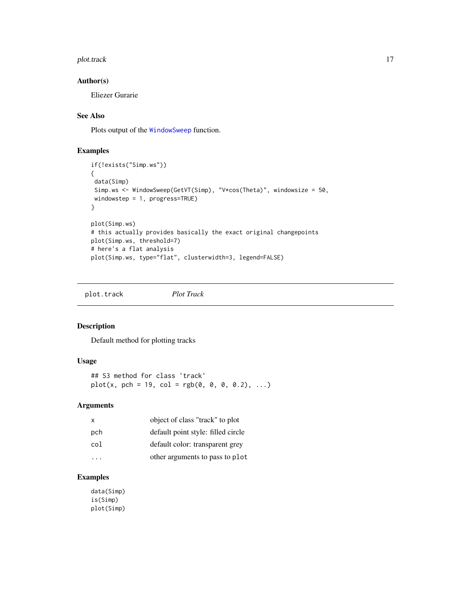#### <span id="page-16-0"></span>plot.track the contract of the contract of the contract of the contract of the contract of the contract of the contract of the contract of the contract of the contract of the contract of the contract of the contract of the

# Author(s)

Eliezer Gurarie

# See Also

Plots output of the [WindowSweep](#page-17-1) function.

# Examples

```
if(!exists("Simp.ws"))
{
 data(Simp)
 Simp.ws <- WindowSweep(GetVT(Simp), "V*cos(Theta)", windowsize = 50,
 windowstep = 1, progress=TRUE)
}
plot(Simp.ws)
# this actually provides basically the exact original changepoints
plot(Simp.ws, threshold=7)
# here's a flat analysis
plot(Simp.ws, type="flat", clusterwidth=3, legend=FALSE)
```
<span id="page-16-1"></span>plot.track *Plot Track*

#### Description

Default method for plotting tracks

#### Usage

## S3 method for class 'track'  $plot(x, pch = 19, col = rgb(0, 0, 0, 0.2), ...)$ 

# Arguments

| X   | object of class "track" to plot    |
|-----|------------------------------------|
| pch | default point style: filled circle |
| col | default color: transparent grey    |
|     | other arguments to pass to plot    |

# Examples

data(Simp) is(Simp) plot(Simp)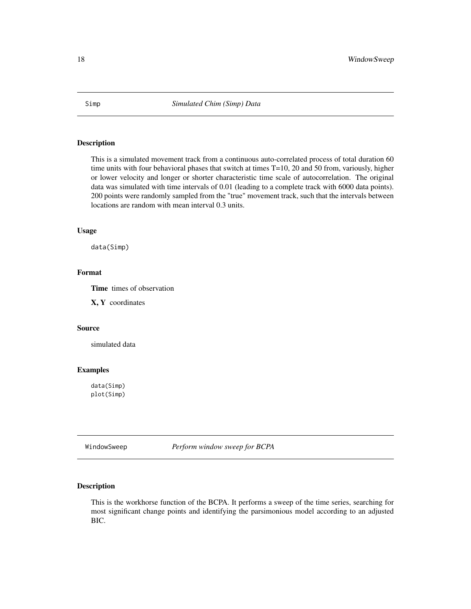<span id="page-17-0"></span>

This is a simulated movement track from a continuous auto-correlated process of total duration 60 time units with four behavioral phases that switch at times T=10, 20 and 50 from, variously, higher or lower velocity and longer or shorter characteristic time scale of autocorrelation. The original data was simulated with time intervals of 0.01 (leading to a complete track with 6000 data points). 200 points were randomly sampled from the "true" movement track, such that the intervals between locations are random with mean interval 0.3 units.

#### Usage

data(Simp)

# Format

Time times of observation

X, Y coordinates

#### Source

simulated data

#### Examples

data(Simp) plot(Simp)

<span id="page-17-1"></span>WindowSweep *Perform window sweep for BCPA*

# Description

This is the workhorse function of the BCPA. It performs a sweep of the time series, searching for most significant change points and identifying the parsimonious model according to an adjusted BIC.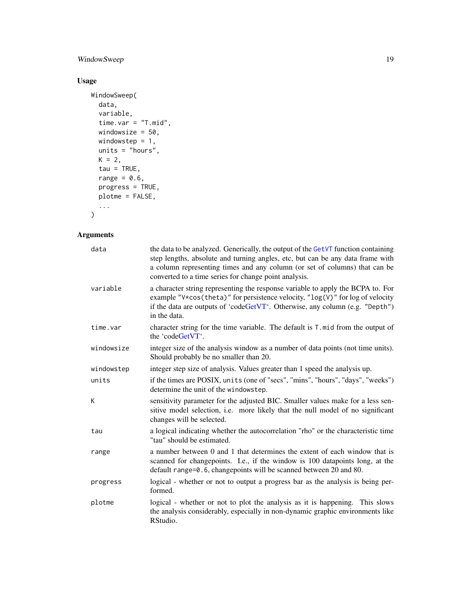# <span id="page-18-0"></span>WindowSweep 19

# Usage

```
WindowSweep(
  data,
  variable,
  time.var = "T.mid",
  windowsize = 50,
  windowstep = 1,
  units = "hours",K = 2,tau = TRUE,range = 0.6,
  progress = TRUE,
  plotme = FALSE,
  ...
\mathcal{L}
```
# Arguments

| data       | the data to be analyzed. Generically, the output of the GetVT function containing<br>step lengths, absolute and turning angles, etc, but can be any data frame with<br>a column representing times and any column (or set of columns) that can be<br>converted to a time series for change point analysis. |
|------------|------------------------------------------------------------------------------------------------------------------------------------------------------------------------------------------------------------------------------------------------------------------------------------------------------------|
| variable   | a character string representing the response variable to apply the BCPA to. For<br>example "V*cos(theta)" for persistence velocity, "log(V)" for log of velocity<br>if the data are outputs of 'codeGetVT'. Otherwise, any column (e.g. "Depth")<br>in the data.                                           |
| time.var   | character string for the time variable. The default is T. mid from the output of<br>the 'codeGetVT'.                                                                                                                                                                                                       |
| windowsize | integer size of the analysis window as a number of data points (not time units).<br>Should probably be no smaller than 20.                                                                                                                                                                                 |
| windowstep | integer step size of analysis. Values greater than 1 speed the analysis up.                                                                                                                                                                                                                                |
| units      | if the times are POSIX, units (one of "secs", "mins", "hours", "days", "weeks")<br>determine the unit of the windowstep.                                                                                                                                                                                   |
| K          | sensitivity parameter for the adjusted BIC. Smaller values make for a less sen-<br>sitive model selection, i.e. more likely that the null model of no significant<br>changes will be selected.                                                                                                             |
| tau        | a logical indicating whether the autocorrelation "rho" or the characteristic time<br>"tau" should be estimated.                                                                                                                                                                                            |
| range      | a number between 0 and 1 that determines the extent of each window that is<br>scanned for changepoints. I.e., if the window is 100 datapoints long, at the<br>default range=0.6, changepoints will be scanned between 20 and 80.                                                                           |
| progress   | logical - whether or not to output a progress bar as the analysis is being per-<br>formed.                                                                                                                                                                                                                 |
| plotme     | logical - whether or not to plot the analysis as it is happening. This slows<br>the analysis considerably, especially in non-dynamic graphic environments like<br>RStudio.                                                                                                                                 |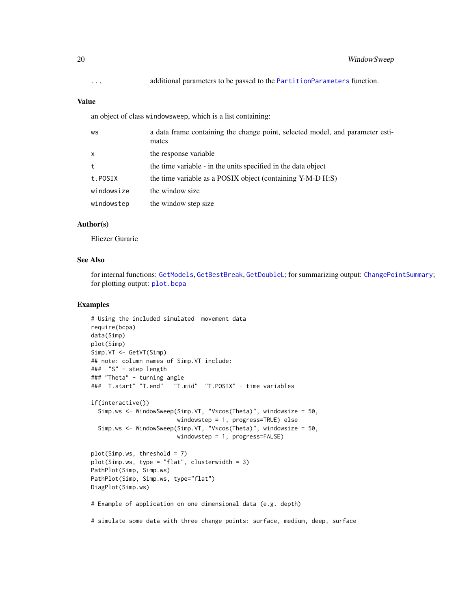# <span id="page-19-0"></span>Value

an object of class windowsweep, which is a list containing:

| WS           | a data frame containing the change point, selected model, and parameter esti-<br>mates |
|--------------|----------------------------------------------------------------------------------------|
| $\mathsf{x}$ | the response variable                                                                  |
| t            | the time variable - in the units specified in the data object                          |
| t.POSIX      | the time variable as a POSIX object (containing Y-M-D H:S)                             |
| windowsize   | the window size                                                                        |
| windowstep   | the window step size                                                                   |

# Author(s)

Eliezer Gurarie

#### See Also

for internal functions: [GetModels](#page-8-1), [GetBestBreak](#page-5-1), [GetDoubleL](#page-6-1); for summarizing output: [ChangePointSummary](#page-3-1); for plotting output: [plot.bcpa](#page-15-1)

```
# Using the included simulated movement data
require(bcpa)
data(Simp)
plot(Simp)
Simp.VT <- GetVT(Simp)
## note: column names of Simp.VT include:
### "S" - step length
### "Theta" - turning angle
### T.start" "T.end" "T.mid" "T.POSIX" - time variables
if(interactive())
  Simp.ws <- WindowSweep(Simp.VT, "V*cos(Theta)", windowsize = 50,
                        windowstep = 1, progress=TRUE) else
  Simp.ws <- WindowSweep(Simp.VT, "V*cos(Theta)", windowsize = 50,
                        windowstep = 1, progress=FALSE)
plot(Simp.ws, threshold = 7)
plot(Simp.ws, type = "flat", clusterwidth = 3)
PathPlot(Simp, Simp.ws)
PathPlot(Simp, Simp.ws, type="flat")
DiagPlot(Simp.ws)
# Example of application on one dimensional data (e.g. depth)
# simulate some data with three change points: surface, medium, deep, surface
```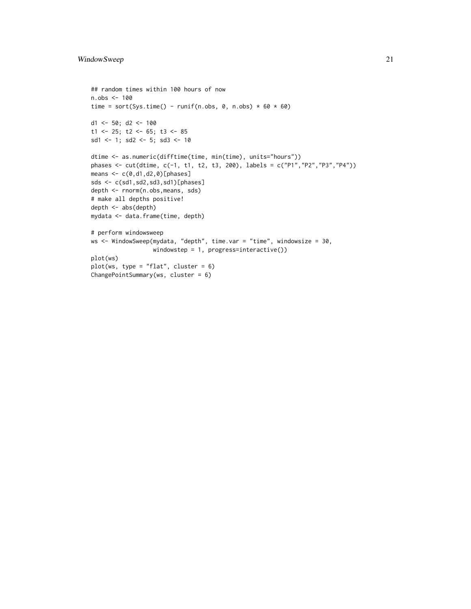```
## random times within 100 hours of now
n.obs <- 100
time = sort(Sys.time() - runif(n.obs, 0, n.obs) * 60 * 60)
d1 <- 50; d2 <- 100
t1 <- 25; t2 <- 65; t3 <- 85
sd1 <- 1; sd2 <- 5; sd3 <- 10
dtime <- as.numeric(difftime(time, min(time), units="hours"))
phases <- cut(dtime, c(-1, t1, t2, t3, 200), labels = c("P1","P2","P3","P4"))
means \leq c(0, d1, d2, 0)[phases]
sds <- c(sd1,sd2,sd3,sd1)[phases]
depth <- rnorm(n.obs,means, sds)
# make all depths positive!
depth <- abs(depth)
mydata <- data.frame(time, depth)
# perform windowsweep
ws <- WindowSweep(mydata, "depth", time.var = "time", windowsize = 30,
                  windowstep = 1, progress=interactive())
plot(ws)
plot(ws, type = "flat", cluster = 6)
ChangePointSummary(ws, cluster = 6)
```